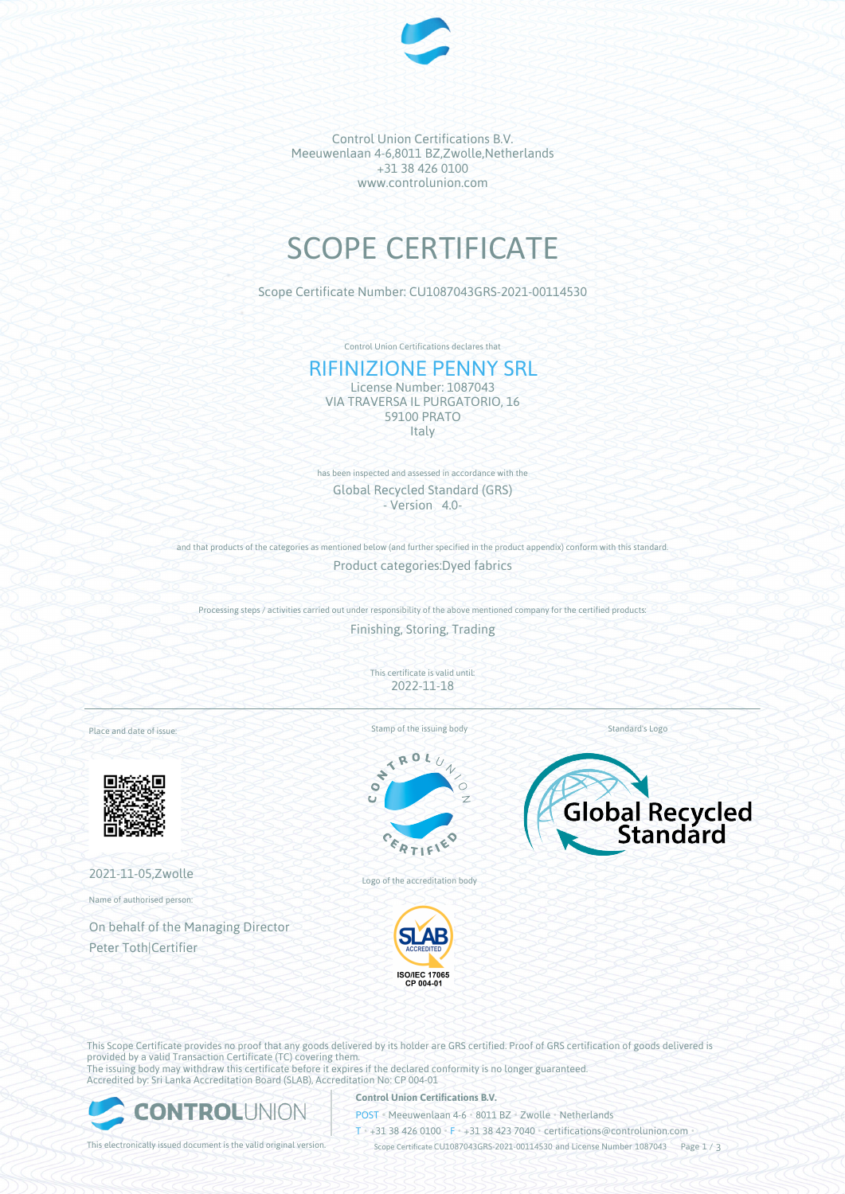

Control Union Certifications B.V. Meeuwenlaan 4-6,8011 BZ,Zwolle,Netherlands +31 38 426 0100 www.controlunion.com

# SCOPE CERTIFICATE

Scope Certificate Number: CU1087043GRS-2021-00114530

Control Union Certifications declares that

## RIFINIZIONE PENNY SRL

License Number: 1087043 VIA TRAVERSA IL PURGATORIO, 16 59100 PRATO **Italy** 

has been inspected and assessed in accordance with the Global Recycled Standard (GRS) - Version 4.0-

and that products of the categories as mentioned below (and further specified in the product appendix) conform with this standard. Product categories:Dyed fabrics

Processing steps / activities carried out under responsibility of the above mentioned company for the certified products:

Finishing, Storing, Trading

This certificate is valid until: 2022-11-18

Place and date of issue:



2021-11-05,Zwolle

Name of authorised person:

On behalf of the Managing Director Peter Toth|Certifier

Stamp of the issuing body





Logo of the accreditation body





This Scope Certificate provides no proof that any goods delivered by its holder are GRS certified. Proof of GRS certification of goods delivered is provided by a valid Transaction Certificate (TC) covering them. The issuing body may withdraw this certificate before it expires if the declared conformity is no longer guaranteed. Accredited by: Sri Lanka Accreditation Board (SLAB), Accreditation No: CP 004-01



#### **Control Union Certifications B.V.**

POST • Meeuwenlaan 4-6 • 8011 BZ • Zwolle • Netherlands

T • +31 38 426 0100 • F • +31 38 423 7040 • certifications@controlunion.com •

This electronically issued document is the valid original version. Scope Certificate CU1087043GRS-2021-00114530 and License Number 1087043 Page 1 / 3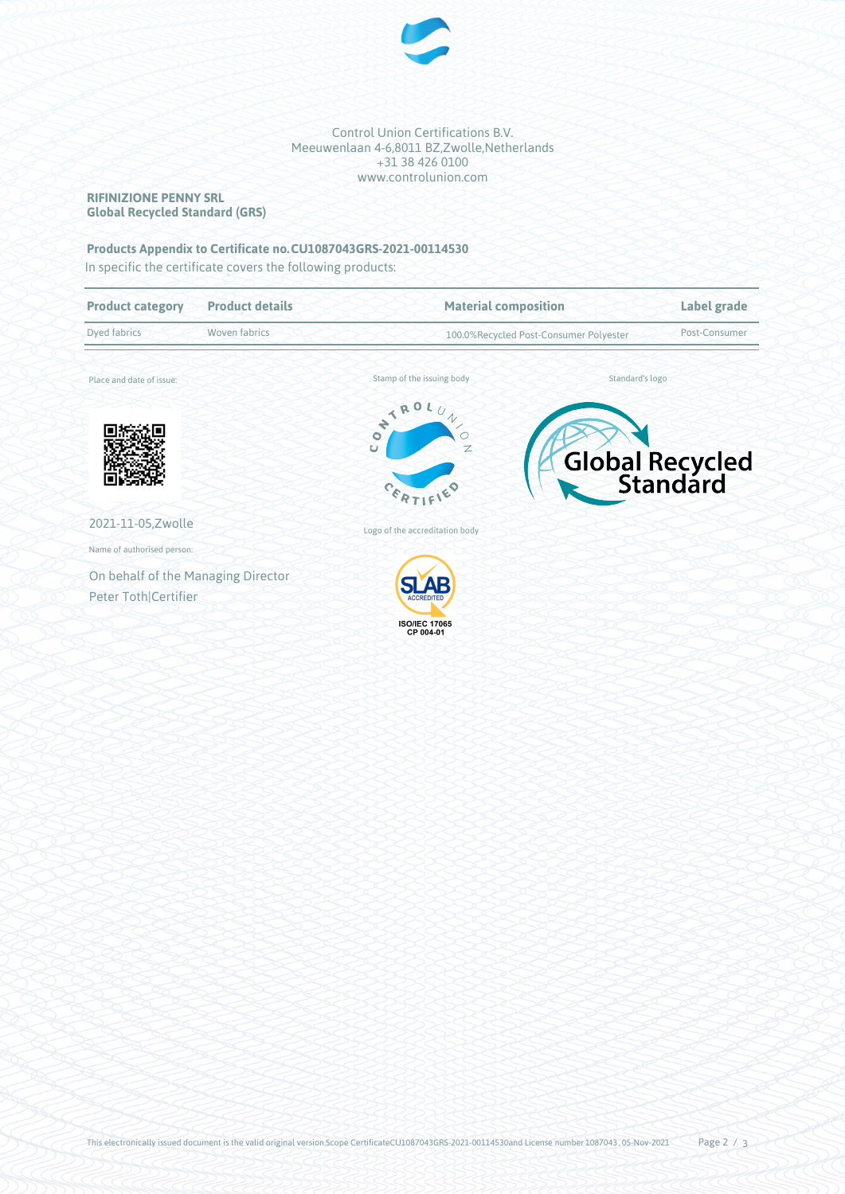

Control Union Certifications B.V. Meeuwenlaan 4-6,8011 BZ,Zwolle,Netherlands +31 38 426 0100 www.controlunion.com

## **RIFINIZIONE PENNY SRL Global Recycled Standard (GRS)**

## **Products Appendix to Certificate no.CU1087043GRS-2021-00114530**

In specific the certificate covers the following products:

| <b>Product category</b>                                    | <b>Product details</b> | <b>Material composition</b>                                                            |  | Label grade     |  |
|------------------------------------------------------------|------------------------|----------------------------------------------------------------------------------------|--|-----------------|--|
| Dyed fabrics<br>Woven fabrics                              |                        | 100.0%Recycled Post-Consumer Polyester                                                 |  | Post-Consumer   |  |
| Place and date of issue:                                   |                        | Stamp of the issuing body                                                              |  | Standard's logo |  |
|                                                            |                        | NTRO.<br>$\gamma$<br>$\overline{O}$<br>Ō<br>Z<br>$\overline{U}$<br>$c_{\varepsilon_R}$ |  | Global Recycled |  |
| 2021-11-05, Zwolle                                         |                        | Logo of the accreditation body                                                         |  |                 |  |
| Name of authorised person:                                 |                        |                                                                                        |  |                 |  |
| On behalf of the Managing Director<br>Peter Toth Certifier |                        | <b>ACCREDITED</b><br><b>ISO/IEC 17065</b><br>CP 004-01                                 |  |                 |  |
|                                                            |                        |                                                                                        |  |                 |  |